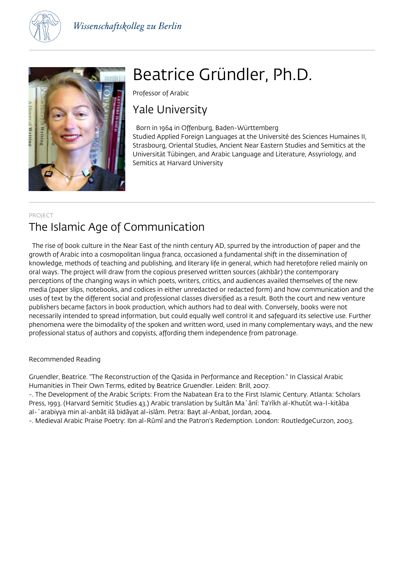



# Beatrice Gründler, Ph.D.

Professor of Arabic

# Yale University

 Born in 1964 in Offenburg, Baden-Württemberg Studied Applied Foreign Languages at the Université des Sciences Humaines II, Strasbourg, Oriental Studies, Ancient Near Eastern Studies and Semitics at the Universität Tübingen, and Arabic Language and Literature, Assyriology, and Semitics at Harvard University

### PROJECT The Islamic Age of Communication

 The rise of book culture in the Near East of the ninth century AD, spurred by the introduction of paper and the growth of Arabic into a cosmopolitan lingua franca, occasioned a fundamental shift in the dissemination of knowledge, methods of teaching and publishing, and literary life in general, which had heretofore relied mainly on oral ways. The project will draw from the copious preserved written sources (akhbâr) the contemporary perceptions of the changing ways in which poets, writers, critics, and audiences availed themselves of the new media (paper slips, notebooks, and codices in either unredacted or redacted form) and how communication and the uses of text by the different social and professional classes diversified as a result. Both the court and new venture publishers became factors in book production, which authors had to deal with. Conversely, books were not necessarily intended to spread information, but could equally well control it and safeguard its selective use. Further phenomena were the bimodality of the spoken and written word, used in many complementary ways, and the new professional status of authors and copyists, affording them independence from patronage.

### Recommended Reading

Gruendler, Beatrice. "The Reconstruction of the Qasida in Performance and Reception." In Classical Arabic Humanities in Their Own Terms, edited by Beatrice Gruendler. Leiden: Brill, 2007.

-. The Development of the Arabic Scripts: From the Nabatean Era to the First Islamic Century. Atlanta: Scholars Press, 1993. (Harvard Semitic Studies 43.) Arabic translation by Sultân Ma`ânî: Ta'rîkh al-Khutût wa-l-kitâba al-`arabiyya min al-anbât ilâ bidâyat al-islâm. Petra: Bayt al-Anbat, Jordan, 2004.

-. Medieval Arabic Praise Poetry: Ibn al-Rûmî and the Patron's Redemption. London: RoutledgeCurzon, 2003.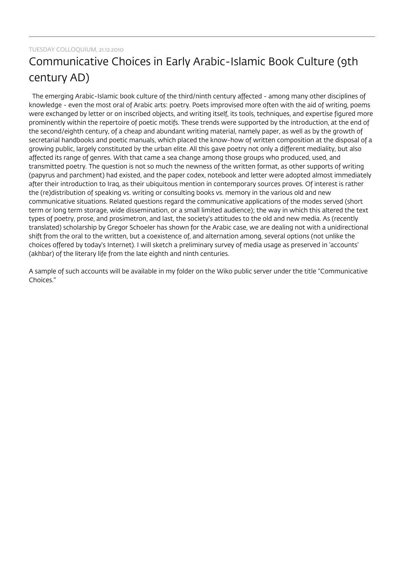## TUESDAY COLLOQUIUM, 21.12.2010 Communicative Choices in Early Arabic-Islamic Book Culture (9th century AD)

 The emerging Arabic-Islamic book culture of the third/ninth century affected - among many other disciplines of knowledge - even the most oral of Arabic arts: poetry. Poets improvised more often with the aid of writing, poems were exchanged by letter or on inscribed objects, and writing itself, its tools, techniques, and expertise figured more prominently within the repertoire of poetic motifs. These trends were supported by the introduction, at the end of the second/eighth century, of a cheap and abundant writing material, namely paper, as well as by the growth of secretarial handbooks and poetic manuals, which placed the know-how of written composition at the disposal of a growing public, largely constituted by the urban elite. All this gave poetry not only a different mediality, but also affected its range of genres. With that came a sea change among those groups who produced, used, and transmitted poetry. The question is not so much the newness of the written format, as other supports of writing (papyrus and parchment) had existed, and the paper codex, notebook and letter were adopted almost immediately after their introduction to Iraq, as their ubiquitous mention in contemporary sources proves. Of interest is rather the (re)distribution of speaking vs. writing or consulting books vs. memory in the various old and new communicative situations. Related questions regard the communicative applications of the modes served (short term or long term storage, wide dissemination, or a small limited audience); the way in which this altered the text types of poetry, prose, and prosimetron, and last, the society's attitudes to the old and new media. As (recently translated) scholarship by Gregor Schoeler has shown for the Arabic case, we are dealing not with a unidirectional shift from the oral to the written, but a coexistence of, and alternation among, several options (not unlike the choices offered by today's Internet). I will sketch a preliminary survey of media usage as preserved in 'accounts' (akhbar) of the literary life from the late eighth and ninth centuries.

A sample of such accounts will be available in my folder on the Wiko public server under the title "Communicative Choices."